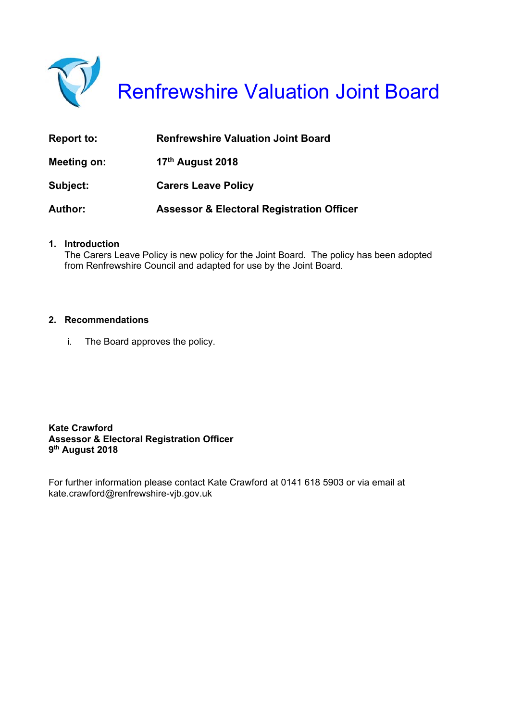

Renfrewshire Valuation Joint Board

| <b>Report to:</b> | <b>Renfrewshire Valuation Joint Board</b>            |
|-------------------|------------------------------------------------------|
| Meeting on:       | 17 <sup>th</sup> August 2018                         |
| Subject:          | <b>Carers Leave Policy</b>                           |
| <b>Author:</b>    | <b>Assessor &amp; Electoral Registration Officer</b> |

#### **1. Introduction**

The Carers Leave Policy is new policy for the Joint Board. The policy has been adopted from Renfrewshire Council and adapted for use by the Joint Board.

#### **2. Recommendations**

i. The Board approves the policy.

**Kate Crawford Assessor & Electoral Registration Officer 9th August 2018** 

For further information please contact Kate Crawford at 0141 618 5903 or via email at kate.crawford@renfrewshire-vjb.gov.uk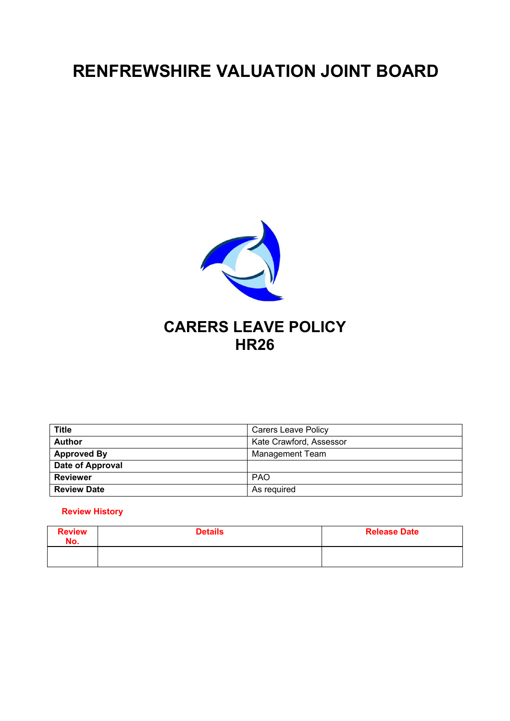# **RENFREWSHIRE VALUATION JOINT BOARD**



# **CARERS LEAVE POLICY HR26**

| <b>Title</b>       | <b>Carers Leave Policy</b> |
|--------------------|----------------------------|
| <b>Author</b>      | Kate Crawford, Assessor    |
| <b>Approved By</b> | <b>Management Team</b>     |
| Date of Approval   |                            |
| <b>Reviewer</b>    | <b>PAO</b>                 |
| <b>Review Date</b> | As reguired                |

#### **Review History**

| <b>Review</b><br>No. | <b>Details</b> | <b>Release Date</b> |
|----------------------|----------------|---------------------|
|                      |                |                     |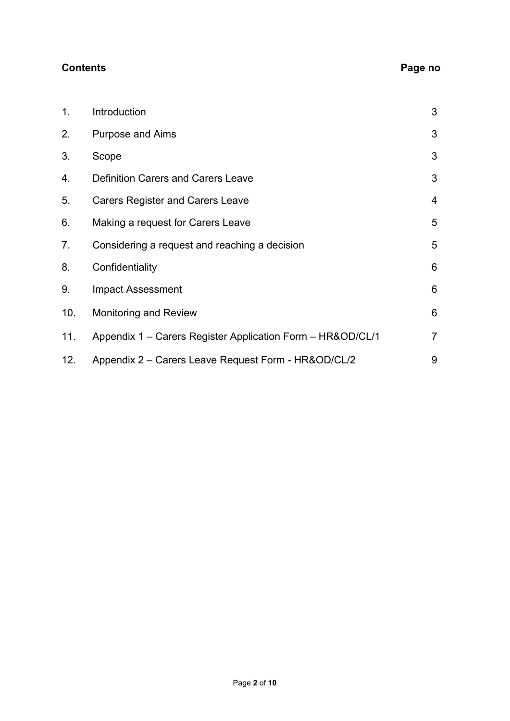# **Contents Page no**

| 1.  | Introduction                                               | 3              |
|-----|------------------------------------------------------------|----------------|
| 2.  | <b>Purpose and Aims</b>                                    | 3              |
| 3.  | Scope                                                      | 3              |
| 4.  | <b>Definition Carers and Carers Leave</b>                  | 3              |
| 5.  | <b>Carers Register and Carers Leave</b>                    | $\overline{4}$ |
| 6.  | Making a request for Carers Leave                          | 5              |
| 7.  | Considering a request and reaching a decision              | 5              |
| 8.  | Confidentiality                                            | 6              |
| 9.  | <b>Impact Assessment</b>                                   | 6              |
| 10. | <b>Monitoring and Review</b>                               | 6              |
| 11. | Appendix 1 – Carers Register Application Form – HR&OD/CL/1 | $\overline{7}$ |
| 12. | Appendix 2 – Carers Leave Request Form - HR&OD/CL/2        | 9              |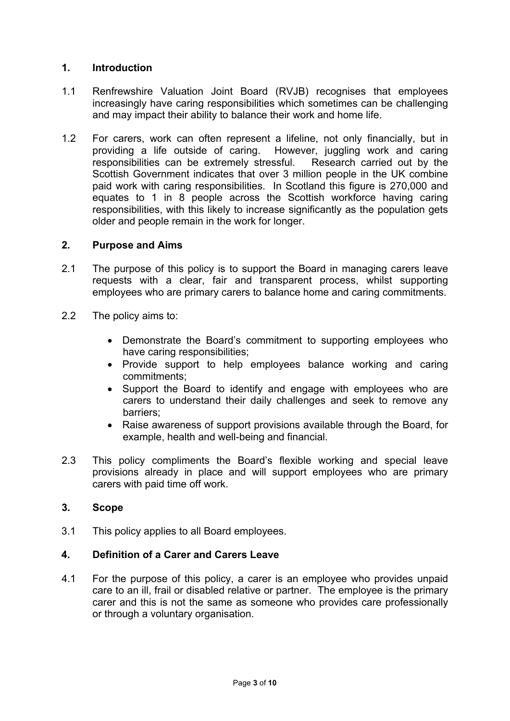#### **1. Introduction**

- 1.1 Renfrewshire Valuation Joint Board (RVJB) recognises that employees increasingly have caring responsibilities which sometimes can be challenging and may impact their ability to balance their work and home life.
- 1.2 For carers, work can often represent a lifeline, not only financially, but in providing a life outside of caring. However, juggling work and caring responsibilities can be extremely stressful. Research carried out by the Scottish Government indicates that over 3 million people in the UK combine paid work with caring responsibilities. In Scotland this figure is 270,000 and equates to 1 in 8 people across the Scottish workforce having caring responsibilities, with this likely to increase significantly as the population gets older and people remain in the work for longer.

#### **2. Purpose and Aims**

- 2.1 The purpose of this policy is to support the Board in managing carers leave requests with a clear, fair and transparent process, whilst supporting employees who are primary carers to balance home and caring commitments.
- 2.2 The policy aims to:
	- Demonstrate the Board's commitment to supporting employees who have caring responsibilities;
	- Provide support to help employees balance working and caring commitments;
	- Support the Board to identify and engage with employees who are carers to understand their daily challenges and seek to remove any barriers;
	- Raise awareness of support provisions available through the Board, for example, health and well-being and financial.
- 2.3 This policy compliments the Board's flexible working and special leave provisions already in place and will support employees who are primary carers with paid time off work.

#### **3. Scope**

3.1 This policy applies to all Board employees.

#### **4. Definition of a Carer and Carers Leave**

4.1 For the purpose of this policy, a carer is an employee who provides unpaid care to an ill, frail or disabled relative or partner. The employee is the primary carer and this is not the same as someone who provides care professionally or through a voluntary organisation.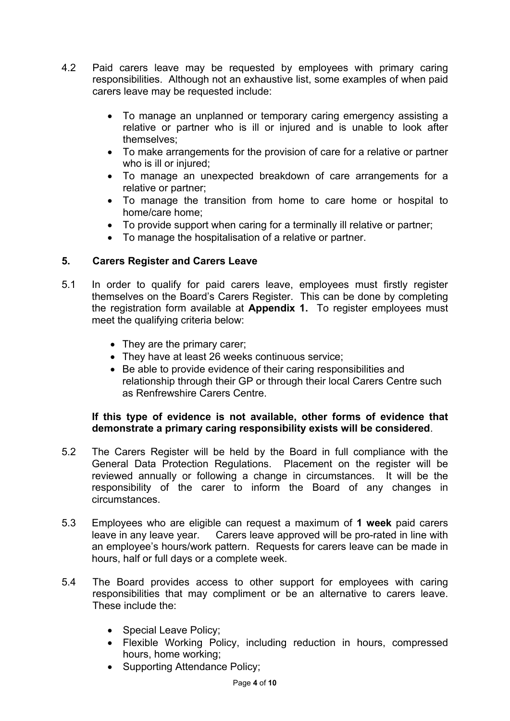- 4.2 Paid carers leave may be requested by employees with primary caring responsibilities. Although not an exhaustive list, some examples of when paid carers leave may be requested include:
	- To manage an unplanned or temporary caring emergency assisting a relative or partner who is ill or injured and is unable to look after themselves;
	- To make arrangements for the provision of care for a relative or partner who is ill or injured;
	- To manage an unexpected breakdown of care arrangements for a relative or partner;
	- To manage the transition from home to care home or hospital to home/care home;
	- To provide support when caring for a terminally ill relative or partner;
	- To manage the hospitalisation of a relative or partner.

### **5. Carers Register and Carers Leave**

- 5.1 In order to qualify for paid carers leave, employees must firstly register themselves on the Board's Carers Register. This can be done by completing the registration form available at **Appendix 1.** To register employees must meet the qualifying criteria below:
	- They are the primary carer;
	- They have at least 26 weeks continuous service:
	- Be able to provide evidence of their caring responsibilities and relationship through their GP or through their local Carers Centre such as Renfrewshire Carers Centre.

#### **If this type of evidence is not available, other forms of evidence that demonstrate a primary caring responsibility exists will be considered**.

- 5.2 The Carers Register will be held by the Board in full compliance with the General Data Protection Regulations. Placement on the register will be reviewed annually or following a change in circumstances. It will be the responsibility of the carer to inform the Board of any changes in circumstances.
- 5.3 Employees who are eligible can request a maximum of **1 week** paid carers leave in any leave year. Carers leave approved will be pro-rated in line with an employee's hours/work pattern. Requests for carers leave can be made in hours, half or full days or a complete week.
- 5.4 The Board provides access to other support for employees with caring responsibilities that may compliment or be an alternative to carers leave. These include the:
	- Special Leave Policy;
	- Flexible Working Policy, including reduction in hours, compressed hours, home working;
	- Supporting Attendance Policy;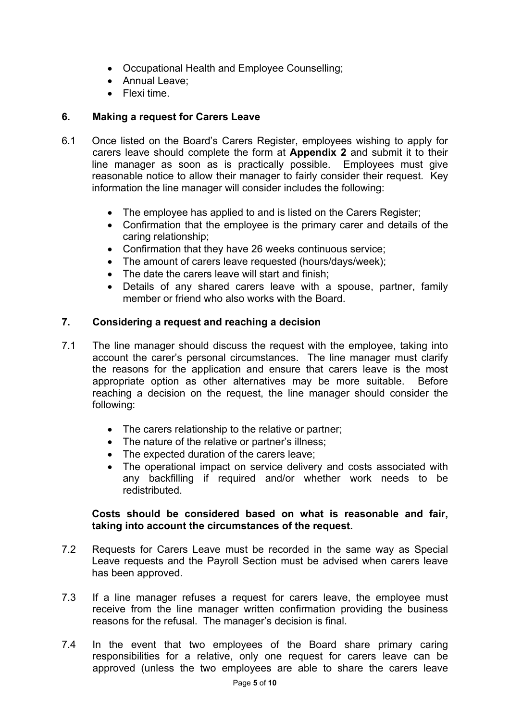- Occupational Health and Employee Counselling;
- Annual Leave;
- **•** Flexi time

#### **6. Making a request for Carers Leave**

- 6.1 Once listed on the Board's Carers Register, employees wishing to apply for carers leave should complete the form at **Appendix 2** and submit it to their line manager as soon as is practically possible. Employees must give reasonable notice to allow their manager to fairly consider their request. Key information the line manager will consider includes the following:
	- The employee has applied to and is listed on the Carers Register;
	- Confirmation that the employee is the primary carer and details of the caring relationship;
	- Confirmation that they have 26 weeks continuous service;
	- The amount of carers leave requested (hours/days/week);
	- The date the carers leave will start and finish;
	- Details of any shared carers leave with a spouse, partner, family member or friend who also works with the Board.

#### **7. Considering a request and reaching a decision**

- 7.1 The line manager should discuss the request with the employee, taking into account the carer's personal circumstances. The line manager must clarify the reasons for the application and ensure that carers leave is the most appropriate option as other alternatives may be more suitable. Before reaching a decision on the request, the line manager should consider the following:
	- The carers relationship to the relative or partner;
	- The nature of the relative or partner's illness:
	- The expected duration of the carers leave;
	- The operational impact on service delivery and costs associated with any backfilling if required and/or whether work needs to be redistributed.

#### **Costs should be considered based on what is reasonable and fair, taking into account the circumstances of the request.**

- 7.2 Requests for Carers Leave must be recorded in the same way as Special Leave requests and the Payroll Section must be advised when carers leave has been approved.
- 7.3 If a line manager refuses a request for carers leave, the employee must receive from the line manager written confirmation providing the business reasons for the refusal. The manager's decision is final.
- 7.4 In the event that two employees of the Board share primary caring responsibilities for a relative, only one request for carers leave can be approved (unless the two employees are able to share the carers leave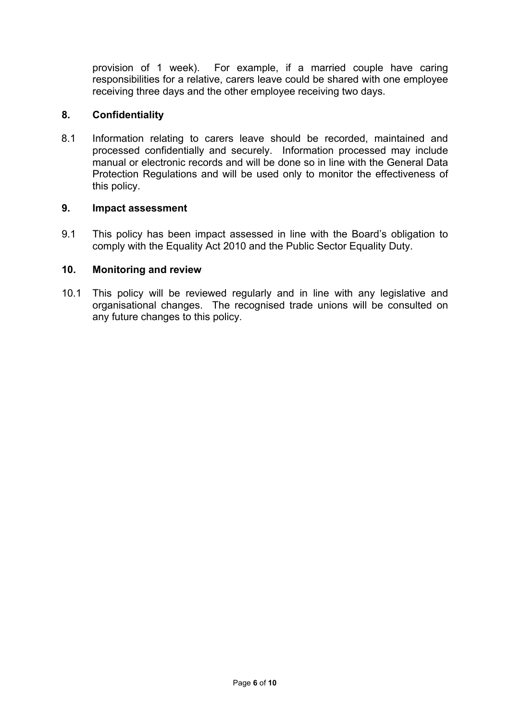provision of 1 week). For example, if a married couple have caring responsibilities for a relative, carers leave could be shared with one employee receiving three days and the other employee receiving two days.

#### **8. Confidentiality**

8.1 Information relating to carers leave should be recorded, maintained and processed confidentially and securely. Information processed may include manual or electronic records and will be done so in line with the General Data Protection Regulations and will be used only to monitor the effectiveness of this policy.

#### **9. Impact assessment**

9.1 This policy has been impact assessed in line with the Board's obligation to comply with the Equality Act 2010 and the Public Sector Equality Duty.

#### **10. Monitoring and review**

10.1 This policy will be reviewed regularly and in line with any legislative and organisational changes. The recognised trade unions will be consulted on any future changes to this policy.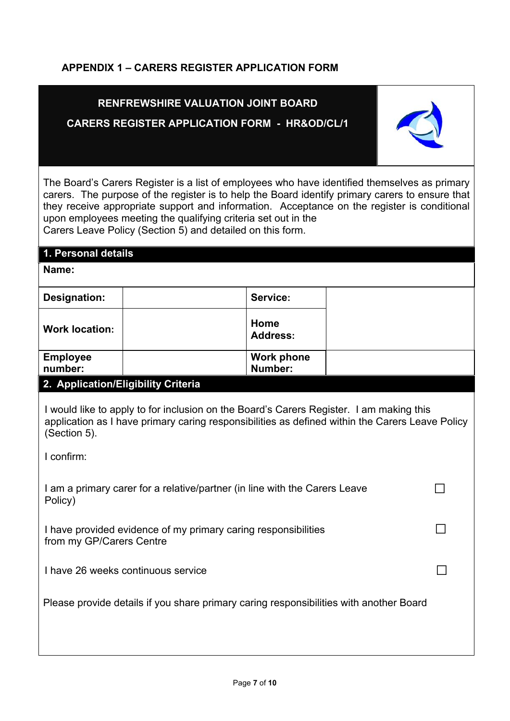### **APPENDIX 1 – CARERS REGISTER APPLICATION FORM**

# **RENFREWSHIRE VALUATION JOINT BOARD CARERS REGISTER APPLICATION FORM - HR&OD/CL/1**



□

□

The Board's Carers Register is a list of employees who have identified themselves as primary carers. The purpose of the register is to help the Board identify primary carers to ensure that they receive appropriate support and information. Acceptance on the register is conditional upon employees meeting the qualifying criteria set out in the Carers Leave Policy (Section 5) and detailed on this form.

#### **1. Personal details**

**Name:**

| Designation:               | Service:                     |  |
|----------------------------|------------------------------|--|
| <b>Work location:</b>      | Home<br><b>Address:</b>      |  |
| <b>Employee</b><br>number: | <b>Work phone</b><br>Number: |  |
|                            |                              |  |

#### **2. Application/Eligibility Criteria**

I would like to apply to for inclusion on the Board's Carers Register. I am making this application as I have primary caring responsibilities as defined within the Carers Leave Policy (Section 5).

I confirm:

| I am a primary carer for a relative/partner (in line with the Carers Leave |  |
|----------------------------------------------------------------------------|--|
| Policy)                                                                    |  |

I have provided evidence of my primary caring responsibilities from my GP/Carers Centre

I have 26 weeks continuous service  $\Box$ 

Please provide details if you share primary caring responsibilities with another Board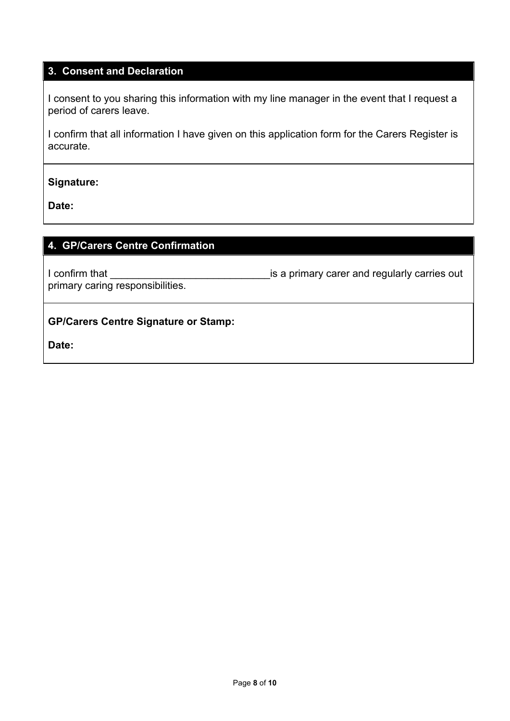# **3. Consent and Declaration**

I consent to you sharing this information with my line manager in the event that I request a period of carers leave.

I confirm that all information I have given on this application form for the Carers Register is accurate.

**Signature:**

**Date:** 

| 4. GP/Carers Centre Confirmation                     |                                              |
|------------------------------------------------------|----------------------------------------------|
| I confirm that<br>primary caring responsibilities.   | is a primary carer and regularly carries out |
| <b>GP/Carers Centre Signature or Stamp:</b><br>Date: |                                              |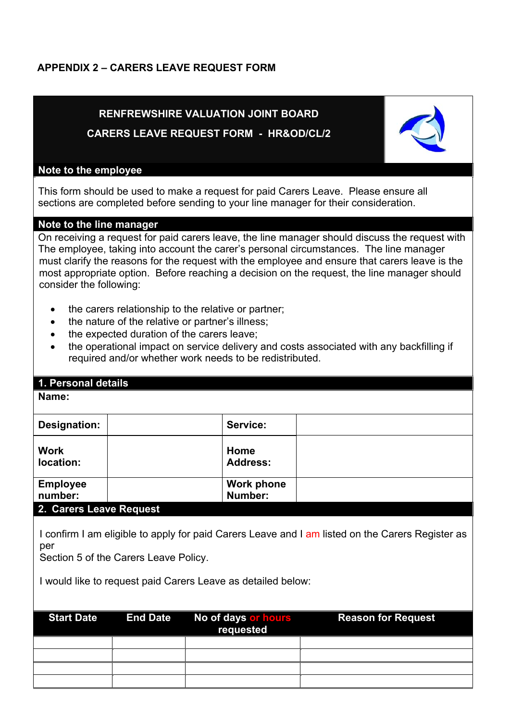## **APPENDIX 2 – CARERS LEAVE REQUEST FORM**

## **RENFREWSHIRE VALUATION JOINT BOARD**

#### **CARERS LEAVE REQUEST FORM - HR&OD/CL/2**



#### **Note to the employee**

This form should be used to make a request for paid Carers Leave. Please ensure all sections are completed before sending to your line manager for their consideration.

#### **Note to the line manager**

On receiving a request for paid carers leave, the line manager should discuss the request with The employee, taking into account the carer's personal circumstances. The line manager must clarify the reasons for the request with the employee and ensure that carers leave is the most appropriate option. Before reaching a decision on the request, the line manager should consider the following:

- the carers relationship to the relative or partner;
- the nature of the relative or partner's illness:
- the expected duration of the carers leave;
- the operational impact on service delivery and costs associated with any backfilling if required and/or whether work needs to be redistributed.

| 1. Personal details        |                              |
|----------------------------|------------------------------|
| Name:                      |                              |
| Designation:               | Service:                     |
| <b>Work</b><br>location:   | Home<br><b>Address:</b>      |
| <b>Employee</b><br>number: | <b>Work phone</b><br>Number: |
| 2. Carers Leave Request    |                              |

I confirm I am eligible to apply for paid Carers Leave and I am listed on the Carers Register as per

Section 5 of the Carers Leave Policy.

I would like to request paid Carers Leave as detailed below:

|  | Start Date End Date No of days or hours<br>requested | <b>Reason for Request</b> |
|--|------------------------------------------------------|---------------------------|
|  |                                                      |                           |
|  |                                                      |                           |
|  |                                                      |                           |
|  |                                                      |                           |